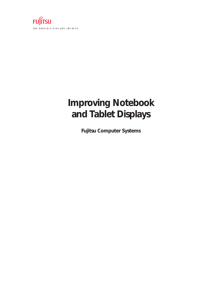

# **Improving Notebook and Tablet Displays**

**Fujitsu Computer Systems**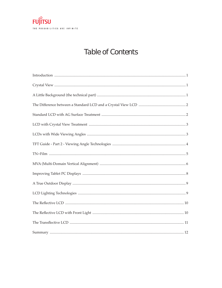

## Table of Contents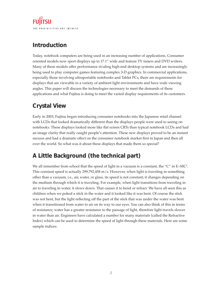### **Introduction**

Today, notebook computers are being used in an increasing number of applications. Consumer oriented models now sport displays up to 17.1" wide and feature TV tuners and DVD writers. Many of these models offer performance rivaling high-end desktop systems and are increasingly being used to play computer games featuring complex 3-D graphics. In commercial applications, especially those involving ultraportable notebooks and Tablet PCs, there are requirements for displays that are viewable in a variety of ambient light environments and have wide viewing angles. This paper will discuss the technologies necessary to meet the demands of these applications and what Fujitsu is doing to meet the varied display requirements of its customers.

### **Crystal View**

Early in 2003, Fujitsu began introducing consumer notebooks into the Japanese retail channel with LCDs that looked dramatically different than the displays people were used to seeing on notebooks. These displays looked more like flat screen CRTs than typical notebook LCDs and had an image clarity that really caught people's attention. These new displays proved to be an instant success and had a dramatic effect on the consumer notebook market first in Japan and then all over the world. So what was it about these displays that made them so special?

### **A Little Background (the technical part)**

We all remember from school that the speed of light in a vacuum is a constant, the "C" in  $E=MC^2$ . This constant speed is actually 299,792,458 m/s. However, when light is traveling in something other than a vacuum, i.e., air, water, or glass, its speed is not constant; it changes depending on the medium through which it is traveling. For example, when light transitions from traveling in air to traveling in water, it slows down. That causes it to bend or refract. We have all seen this as children when we poked a stick in the water and it looked like it was bent. Of course the stick was not bent, but the light reflecting off the part of the stick that was under the water was bent when it transitioned from water to air on its way to our eyes. You can also think of this in terms of resistance; water has a greater resistance to the passage of light, therefore light travels slower in water than air. Engineers have calculated a number for many materials (called the Refractive Index) which can be used to determine the speed of light through these materials. Here are some sample indices: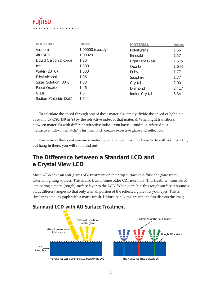

| <b>MATERIAL</b>                | <b>Index</b>      | <b>MATERIAL</b>   | <b>Index</b> |
|--------------------------------|-------------------|-------------------|--------------|
| Vacuum                         | 1.00000 (exactly) | Polystyrene       | 1.55         |
| Air (STP)                      | 1.00029           | Emerald           | 1.57         |
| Liquid Carbon Dioxide          | 1.20              | Light Flint Glass | 1.575        |
| Ice                            | 1.309             | Quartz            | 1.644        |
| Water $(20^{\circ} \text{ C})$ | 1.333             | Ruby              | 1.77         |
| <b>Ethyl Alcohol</b>           | 1.36              | Sapphire          | 1.77         |
| Sugar Solution (30%)           | 1.38              | Crystal           | 2.00         |
| <b>Fused Quartz</b>            | 1.46              | Diamond           | 2.417        |
| Glass                          | 1.5               | Iodine Crystal    | 3.34         |
| Sodium Chloride (Salt)         | 1.544             |                   |              |

To calculate the speed through any of these materials, simply divide the speed of light in a vacuum (299,792,458 m/s) by the refractive index of that material. When light transitions between materials with different refractive indices you have a condition referred to a "refractive index mismatch." This mismatch creates excessive glare and reflection.

I am sure at this point you are wondering what any of this may have to do with a shiny LCD, but hang in there, you will soon find out.

#### **The Difference between a Standard LCD and a Crystal View LCD**

 Most LCDs have an anti-glare (AG) treatment on their top surface to diffuse the glare from external lighting sources. This is also true of some older CRT monitors. This treatment consists of laminating a matte (rough) surface layer to the LCD. When glare hits this rough surface it bounces off at different angles so that only a small portion of the reflected glare hits your eyes. This is similar to a photograph with a matte finish. Unfortunately this treatment also distorts the image.

#### *Standard LCD with AG Surface Treatment*

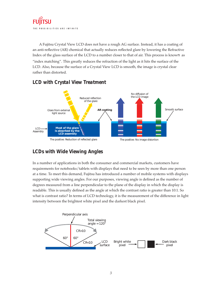

A Fujitsu Crystal View LCD does not have a rough AG surface. Instead, it has a coating of an anti-reflective (AR) chemical that actually reduces reflected glare by lowering the Refractive Index of the glass surface of the LCD to a number closer to that of air. This process is known as "index matching". This greatly reduces the refraction of the light as it hits the surface of the LCD. Also, because the surface of a Crystal View LCD is smooth, the image is crystal clear rather than distorted.



#### *LCD with Crystal View Treatment*

#### *LCDs with Wide Viewing Angles*

In a number of applications in both the consumer and commercial markets, customers have requirements for notebooks/tablets with displays that need to be seen by more than one person at a time. To meet this demand, Fujitsu has introduced a number of mobile systems with displays supporting wide viewing angles. For our purposes, viewing angle is defined as the number of degrees measured from a line perpendicular to the plane of the display in which the display is readable. This is usually defined as the angle at which the contrast ratio is greater than 10:1. So what is contrast ratio? In terms of LCD technology, it is the measurement of the difference in light intensity between the brightest white pixel and the darkest black pixel.

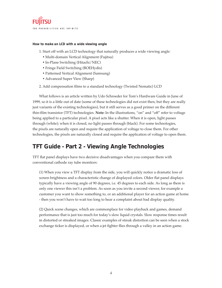#### *How to make an LCD with a wide viewing angle*

- 1. Start off with an LCD technology that naturally produces a wide viewing angle:
	- Multi-domain Vertical Alignment (Fujitsu)
	- In-Plane Switching (Hitachi/NEC)
	- Fringe Field Switching (BOEHydis)
	- Patterned Vertical Alignment (Samsung)
	- Advanced Super View (Sharp)
- 2. Add compensation films to a standard technology (Twisted Nematic) LCD

What follows is an article written by Udo Schroeder for Tom's Hardware Guide in June of 1999, so it is a little out of date (some of these technologies did not exist then, but they are really just variants of the existing technologies), but it still serves as a good primer on the different thin-film transistor (TFT) technologies. Note: In the illustrations, "on" and "off" refer to voltage being applied to a particular pixel. A pixel acts like a shutter. When it is open, light passes through (white); when it is closed, no light passes through (black). For some technologies, the pixels are naturally open and require the application of voltage to close them. For other technologies, the pixels are naturally closed and require the application of voltage to open them.

#### **TFT Guide - Part 2 - Viewing Angle Technologies**

TFT flat panel displays have two decisive disadvantages when you compare them with conventional cathode ray tube monitors:

 (1) When you view a TFT display from the side, you will quickly notice a dramatic loss of screen brightness and a characteristic change of displayed colors. Older flat panel displays typically have a viewing angle of 90 degrees, i.e. 45 degrees to each side. As long as there is only one viewer this isn't a problem. As soon as you invite a second viewer, for example a customer you want to show something to, or an additional player for an action game at home - then you won't have to wait too long to hear a complaint about bad display quality.

 (2) Quick scene changes, which are commonplace for video playback and games, demand performance that is just too much for today's slow liquid crystals. Slow response times result in distorted or streaked images. Classic examples of streak distortion can be seen when a stock exchange ticker is displayed, or when a jet fighter flies through a valley in an action game.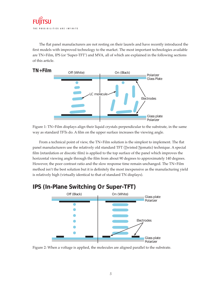The flat panel manufacturers are not resting on their laurels and have recently introduced the first models with improved technology to the market. The most important technologies available are TN+Film, IPS (or 'Super-TFT') and MVA, all of which are explained in the following sections of this article.



Figure 1: TN+Film displays align their liquid crystals perpendicular to the substrate, in the same way as standard TFTs do. A film on the upper surface increases the viewing angle.

From a technical point of view, the TN+Film solution is the simplest to implement. The flat panel manufacturers use the relatively old standard TFT (Twisted Nematic) technique. A special film (retardation or discotic film) is applied to the top surface of the panel which improves the horizontal viewing angle through the film from about 90 degrees to approximately 140 degrees. However, the poor contrast ratio and the slow response time remain unchanged. The TN+Film method isn't the best solution but it is definitely the most inexpensive as the manufacturing yield is relatively high (virtually identical to that of standard TN displays).

#### **IPS (In-Plane Switching Or Super-TFT)**



Figure 2: When a voltage is applied, the molecules are aligned parallel to the substrate.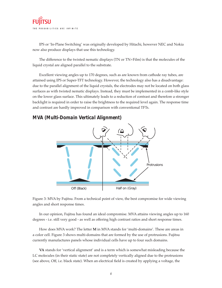

IPS or 'In-Plane Switching' was originally developed by Hitachi, however NEC and Nokia now also produce displays that use this technology.

The difference to the twisted nematic displays (TN or TN+Film) is that the molecules of the liquid crystal are aligned parallel to the substrate.

Excellent viewing angles up to 170 degrees, such as are known from cathode ray tubes, are attained using IPS or Super-TFT technology. However, the technology also has a disadvantage: due to the parallel alignment of the liquid crystals, the electrodes may not be located on both glass surfaces as with twisted nematic displays. Instead, they must be implemented in a comb-like style on the lower glass surface. This ultimately leads to a reduction of contrast and therefore a stronger backlight is required in order to raise the brightness to the required level again. The response time and contrast are hardly improved in comparison with conventional TFTs.

#### *MVA (Multi-Domain Vertical Alignment)*



Figure 3: MVA by Fujitsu. From a technical point of view, the best compromise for wide viewing angles and short response times.

In our opinion, Fujitsu has found an ideal compromise. MVA attains viewing angles up to 160 degrees - i.e. still very good - as well as offering high contrast ratios and short response times.

How does MVA work? The letter **M** in MVA stands for 'multi-domains'. These are areas in a color cell. Figure 3 shows multi-domains that are formed by the use of protrusions. Fujitsu currently manufactures panels whose individual cells have up to four such domains.

**VA** stands for 'vertical alignment' and is a term which is somewhat misleading because the LC molecules (in their static state) are not completely vertically aligned due to the protrusions (see above, Off, i.e. black state). When an electrical field is created by applying a voltage, the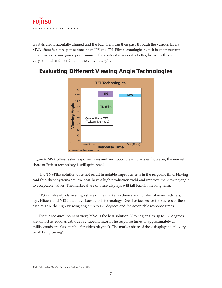

crystals are horizontally aligned and the back light can then pass through the various layers. MVA offers faster response times than IPS and TN+Film technologies which is an important factor for video and game performance. The contrast is generally better, however this can vary somewhat depending on the viewing angle.



#### **Evaluating Different Viewing Angle Technologies**

Figure 4: MVA offers faster response times and very good viewing angles, however, the market share of Fujitsu technology is still quite small.

The **TN+Film** solution does not result in notable improvements in the response time. Having said this, these systems are low-cost, have a high production yield and improve the viewing angle to acceptable values. The market share of these displays will fall back in the long term.

**IPS** can already claim a high share of the market as there are a number of manufacturers, e.g., Hitachi and NEC, that have backed this technology. Decisive factors for the success of these displays are the high viewing angle up to 170 degrees and the acceptable response times.

From a technical point of view, MVA is the best solution. Viewing angles up to 160 degrees are almost as good as cathode ray tube monitors. The response times of approximately 20 milliseconds are also suitable for video playback. The market share of these displays is still very small but growing<sup>1</sup>.

1 Udo Schroeder, Tom's Hardware Guide, June 1999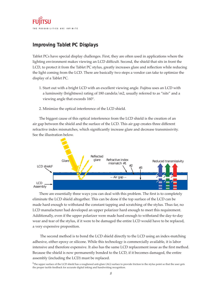

#### *Improving Tablet PC Displays*

Tablet PCs have special display challenges. First, they are often used in applications where the lighting environment makes viewing an LCD difficult. Second, the shield that sits in front the LCD, to protect it from the Tablet PC stylus, greatly increases glare and reflection while reducing the light coming from the LCD. There are basically two steps a vendor can take to optimize the display of a Tablet PC.

- 1. Start out with a bright LCD with an excellent viewing angle. Fujitsu uses an LCD with a luminosity (brightness) rating of 180 candela/m2, usually referred to as "nits" and a viewing angle that exceeds 160°.
- 2. Minimize the optical interference of the LCD shield.

The biggest cause of this optical interference from the LCD shield is the creation of an air gap between the shield and the surface of the LCD. This air gap creates three different refractive index mismatches, which significantly increase glare and decrease transmissivity. See the illustration below.



There are essentially three ways you can deal with this problem. The first is to completely eliminate the LCD shield altogether. This can be done if the top surface of the LCD can be made hard enough to withstand the constant tapping and scratching of the stylus. Thus far, no LCD manufacturer had developed an upper polarizer hard enough to meet this requirement. Additionally, even if the upper polarizer were made hard enough to withstand the day-to-day wear and tear of the stylus, if it were to be damaged the entire LCD would have to be replaced, a very expensive proposition.

 The second method is to bond the LCD shield directly to the LCD using an index-matching adhesive, either epoxy or silicone. While this technology is commercially available, it is labor intensive and therefore expensive. It also has the same LCD replacement issue as the first method. Because the shield is now permanently bonded to the LCD, if it becomes damaged, the entire assembly (including the LCD) must be replaced.

 $^2$ The upper surface of the LCD shield has a roughened anti-glare (AG) surface to provide friction to the stylus point so that the user gets the proper tactile feedback for accurate digital inking and handwriting recognition.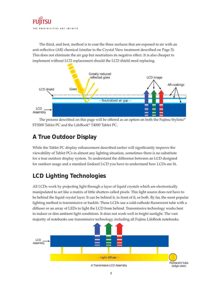The third, and best, method is to coat the three surfaces that are exposed to air with an anti-reflective (AR) chemical (similar to the Crystal View treatment described on Page 3). This does not eliminate the air gap but neutralizes its negative effect. It is also cheaper to implement without LCD replacement should the LCD shield need replacing.



The process described on this page will be offered as an option on both the Fujitsu Stylistic® ST5000 Tablet PC and the LifeBook® T4000 Tablet PC.

### **A True Outdoor Display**

While the Tablet PC display enhancement described earlier will significantly improve the viewability of Tablet PCs in almost any lighting situation, sometimes there is no substitute for a true outdoor display system. To understand the difference between an LCD designed for outdoor usage and a standard (indoor) LCD you have to understand how LCDs are lit.

### **LCD Lighting Technologies**

All LCDs work by projecting light through a layer of liquid crystals which are electronically manipulated to act like a matrix of little shutters called pixels. This light source does not have to be behind the liquid crystal layer. It can be behind it, in front of it, or both. By far, the most popular lighting method is transmissive or backlit. These LCDs use a cold-cathode fluorescent tube with a diffuser or an array of LEDs to light the LCD from behind. Transmissive technology works best in indoor or dim ambient light conditions. It does not work well in bright sunlight. The vast majority of notebooks use transmissive technology, including all Fujitsu LifeBook notebooks.

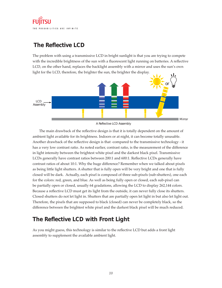

#### **The Reflective LCD**

The problem with using a transmissive LCD in bright sunlight is that you are trying to compete with the incredible brightness of the sun with a fluorescent light running on batteries. A reflective LCD, on the other hand, replaces the backlight assembly with a mirror and uses the sun's own light for the LCD, therefore, the brighter the sun, the brighter the display.



A Reflective LCD Assembly

The main drawback of the reflective design is that it is totally dependent on the amount of ambient light available for its brightness. Indoors or at night, it can become totally unusable. Another drawback of the reflective design is that -compared to the transmissive technology - it has a very low contrast ratio. As noted earlier, contrast ratio, is the measurement of the difference in light intensity between the brightest white pixel and the darkest black pixel. Transmissive LCDs generally have contrast ratios between 200:1 and 600:1. Reflective LCDs generally have contrast ratios of about 10:1. Why the huge difference? Remember when we talked about pixels as being little light shutters. A shutter that is fully open will be very bright and one that is fully closed will be dark. Actually, each pixel is composed of three sub-pixels (sub-shutters), one each for the colors: red, green, and blue. As well as being fully open or closed, each sub-pixel can be partially open or closed, usually 64 gradations, allowing the LCD to display 262,144 colors. Because a reflective LCD must get its light from the outside, it can never fully close its shutters. Closed shutters do not let light in. Shutters that are partially open let light in but also let light out. Therefore, the pixels that are supposed to black (closed) can never be completely black, so the difference between the brightest white pixel and the darkest black pixel will be much reduced.

#### **The Reflective LCD with Front Light**

As you might guess, this technology is similar to the reflective LCD but adds a front light assembly to supplement the available ambient light.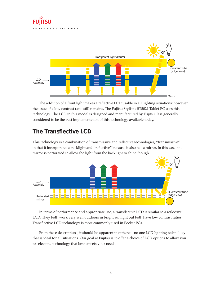

The addition of a front light makes a reflective LCD usable in all lighting situations; however the issue of a low contrast ratio still remains. The Fujitsu Stylistic ST5021 Tablet PC uses this technology. The LCD in this model is designed and manufactured by Fujitsu. It is generally considered to be the best implementation of this technology available today.

#### **The Transflective LCD**

This technology is a combination of transmissive and reflective technologies, "transmissive" in that it incorporates a backlight and "reflective" because it also has a mirror. In this case, the mirror is perforated to allow the light from the backlight to shine though.



In terms of performance and appropriate use, a transflective LCD is similar to a reflective LCD. They both work very well outdoors in bright sunlight but both have low contrast ratios. Transflective LCD technology is most commonly used in Pocket PCs.

From these descriptions, it should be apparent that there is no one LCD lighting technology that is ideal for all situations. Our goal at Fujitsu is to offer a choice of LCD options to allow you to select the technology that best cmeets your needs.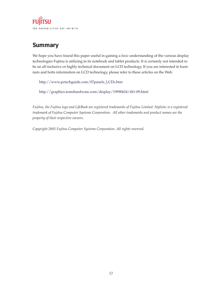**FUJITSU** THE POSSIBILITIES ARE INFINITE

#### **Summary**

We hope you have found this paper useful in gaining a *basic* understanding of the various display technologies Fujitsu is utilizing in its notebook and tablet products. It is certainly not intended to be an all-inclusive or highly technical document on LCD technology. If you are interested in basic nuts and bolts information on LCD technology, please refer to these articles on the Web:

http://www.pctechguide.com/07panels\_LCDs.htm

http://graphics.tomshardware.com/display/19990624/tft1-09.html

*Fujitsu, the Fujitsu logo and LifeBook are registered trademarks of Fujitsu Limited. Stylistic is a registered trademark of Fujitsu Computer Systems Corporation. All other trademarks and product names are the property of their respective owners.* 

*Copyright 2005 Fujitsu Computer Systems Corporation. All rights reserved.*